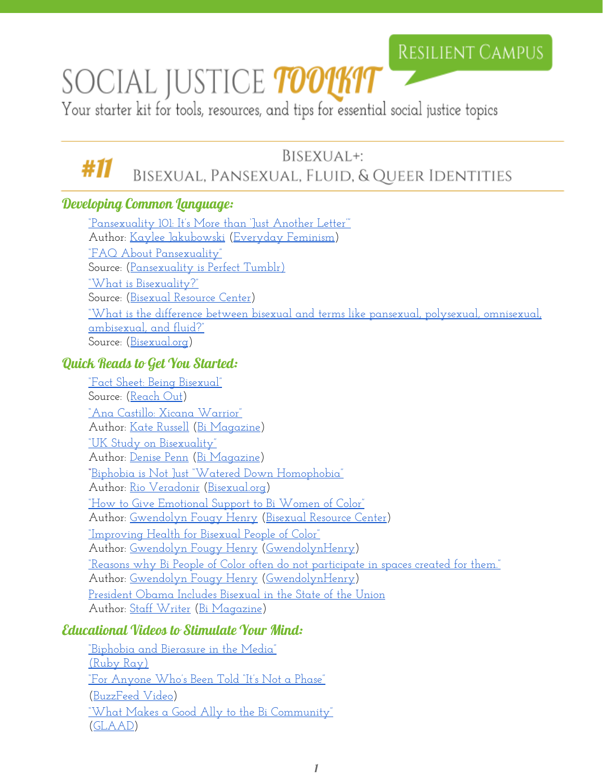# SOCIAL JUSTICE *toolkit*

Your starter kit for tools, resources, and tips for essential social justice topics

#### BISEXUAL+: #11 BISEXUAL, PANSEXUAL, FLUID, & QUEER IDENTITIES

### Developing Common Language:

["Pansexuality 101: It's](http://everydayfeminism.com/2014/11/pansexuality-101/) More than 'Just Another Letter'" Author: [Kaylee Jakubowski](http://everydayfeminism.com/author/kayleej/) [\(Everyday](http://everydayfeminism.com/) Feminism) ["FAQ About Pansexuality"](http://pansexualityisperfect.tumblr.com/FAQ) Source: [\(Pansexuality is Perfect Tumblr\)](http://pansexualityisperfect.tumblr.com/) ["What is Bisexuality?"](http://www.biresource.net/whatis.shtml) Source: [\(Bisexual Resource](http://www.biresource.net/index.shtml) Center) ["W](https://bisexual.org/?qna=what-is-the-difference-between-bisexual-and-terms-like-pansexual-polysexual-omnisexual-ambisexual-and-fluid)hat is the difference between bisexual and terms like [pansexual, polysexual, omnisexual,](https://bisexual.org/?qna=what-is-the-difference-between-bisexual-and-terms-like-pansexual-polysexual-omnisexual-ambisexual-and-fluid) [ambisexual, and fluid?"](https://bisexual.org/?qna=what-is-the-difference-between-bisexual-and-terms-like-pansexual-polysexual-omnisexual-ambisexual-and-fluid) Source: [\(Bisexual.org\)](https://bisexual.org/)

#### Quick Reads to Get You Started:

["Fact Sheet: Being Bisexual"](http://us.reachout.com/facts/factsheet/being-bisexual) Source: [\(Reach Out\)](http://us.reachout.com/) ["Ana Castillo: Xicana](http://bimagazine.org/ana-castillo-xicana-warrior/) Warrior" Author: [Kate Russell](http://bimagazine.org/author/kate-russell/) [\(Bi Magazine\)](http://bimagazine.org/) ["UK Study on Bisexuality"](http://bimagazine.org/uk-study-on-bisexuality/) Author: [Denise Penn](http://bimagazine.org/author/dpenn/) [\(Bi Magazine\)](http://bimagazine.org/) **"**[Biphobia is Not Just "Watered](https://bisexual.org/biphobia-is-not-just-watered-down-homophobia/) Down Homophobia" Author: [Rio Veradonir](https://bisexual.org/people/rioveradonir-com/) [\(Bisexual.org\)](https://bisexual.org/) ["How to Give Emotional Support to](http://biresourcecenter.tumblr.com/post/114618229243/how-to-give-emotional-support-to-bi-women-of-color) Bi Women of Color" Author: [Gwendolyn Fougy](http://www.gwendolynhenry.com/) Henry [\(Bisexual Resource](http://biresourcecenter.tumblr.com/) Center) ["Improving Health for](http://www.gwendolynhenry.com/post/118715225950/improving-mental-health-for-bisexual-people-of) Bisexual People of Color" Author: [Gwendolyn Fougy](http://www.gwendolynhenry.com/) Henry [\(GwendolynHenry\)](http://www.gwendolynhenry.com/) ["Reasons why Bi People](http://www.gwendolynhenry.com/post/99420386135/reasons-why-bi-people-of-color-often-do-not) of Color often do not participate in spaces created for them." Author: [Gwendolyn Fougy](http://www.gwendolynhenry.com/) Henry [\(GwendolynHenry\)](http://www.gwendolynhenry.com/) [President Obama Includes Bisexual in](http://bimagazine.org/president-obama-includes-bisexuals-in-state-of-the-union/) the State of the Union Author: [Staff Writer](http://bimagazine.org/author/staff-writer/) [\(Bi Magazine\)](http://bimagazine.org/)

### Educational Videos to Stimulate Your Mind:

["Biphobia and Bierasure](https://www.youtube.com/watch?v=Yny9uOempx4) in the Media" [\(Ruby Ray\)](https://www.youtube.com/channel/UCvM9-5wnW45mqPsXlMYwglQ) ["For Anyone Who's Been](https://www.youtube.com/watch?v=KAWlvhYZ_C0&index=17&list=RDLpeCgvCRths) Told "It's Not a Phase" ([BuzzFeed Video\)](https://www.youtube.com/user/BuzzFeedVideo) ["What Makes a Good](https://www.youtube.com/watch?v=yVfZpStmwA8) Ally to the Bi Community" ([GLAAD\)](https://www.youtube.com/user/glaadmedia)